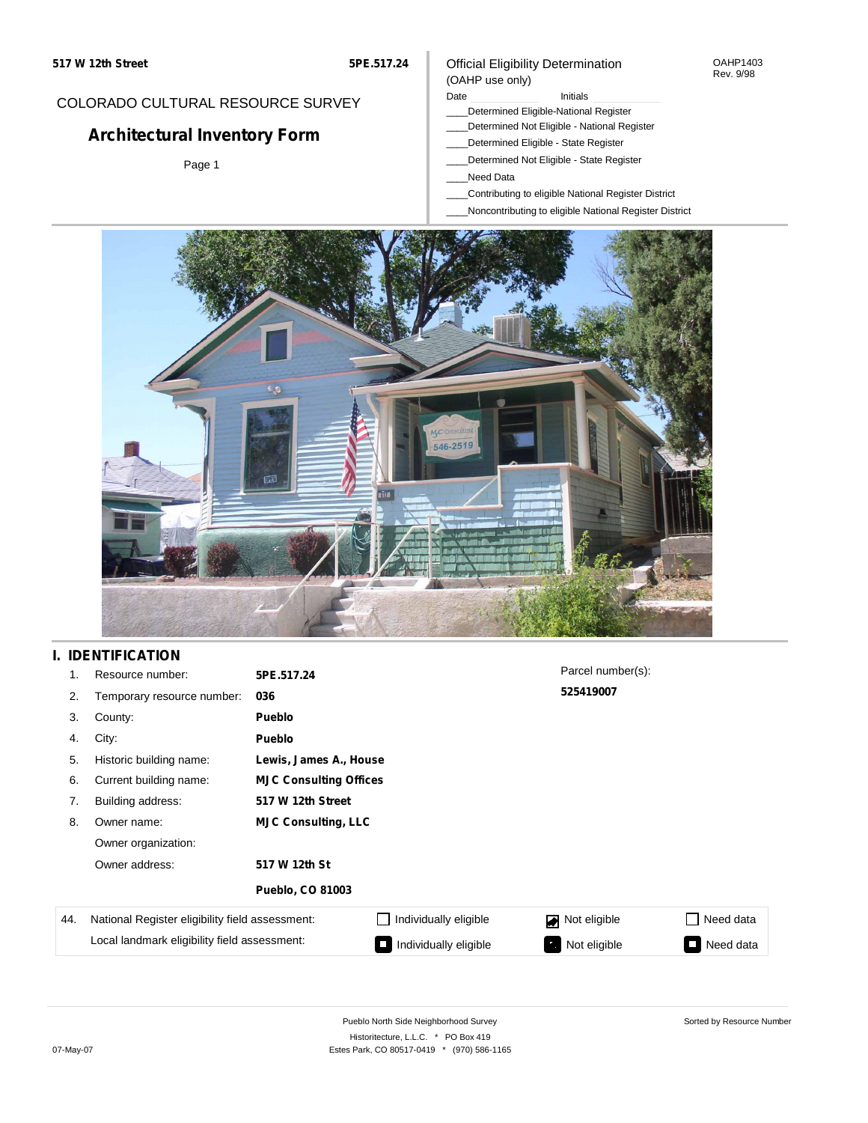### OAHP1403 Rev. 9/98

## COLORADO CULTURAL RESOURCE SURVEY

# **Architectural Inventory Form**

Page 1

### Official Eligibility Determination (OAHP use only)

Date **Initials** Initials

- \_\_\_\_Determined Eligible-National Register
- \_\_\_\_Determined Not Eligible National Register
- \_\_\_\_Determined Eligible State Register
- \_\_\_\_Determined Not Eligible State Register
- \_\_\_\_Need Data
- \_\_\_\_Contributing to eligible National Register District
- \_\_\_\_Noncontributing to eligible National Register District



## **I. IDENTIFICATION**

| 1.  | Resource number:                                                                                | 5PE.517.24                    |                       | Parcel number(s): |           |
|-----|-------------------------------------------------------------------------------------------------|-------------------------------|-----------------------|-------------------|-----------|
| 2.  | Temporary resource number:                                                                      | 036                           |                       | 525419007         |           |
| 3.  | County:                                                                                         | <b>Pueblo</b>                 |                       |                   |           |
| 4.  | City:                                                                                           | <b>Pueblo</b>                 |                       |                   |           |
| 5.  | Historic building name:                                                                         | Lewis, James A., House        |                       |                   |           |
| 6.  | Current building name:                                                                          | <b>MJC Consulting Offices</b> |                       |                   |           |
| 7.  | Building address:                                                                               | 517 W 12th Street             |                       |                   |           |
| 8.  | Owner name:                                                                                     | <b>MJC Consulting, LLC</b>    |                       |                   |           |
|     | Owner organization:                                                                             |                               |                       |                   |           |
|     | Owner address:                                                                                  | 517 W 12th St                 |                       |                   |           |
|     |                                                                                                 | <b>Pueblo, CO 81003</b>       |                       |                   |           |
| 44. | National Register eligibility field assessment:<br>Local landmark eligibility field assessment: |                               | Individually eligible | Not eligible<br>◪ | Need data |
|     |                                                                                                 |                               | Individually eligible | Not eligible      | Need data |

Sorted by Resource Number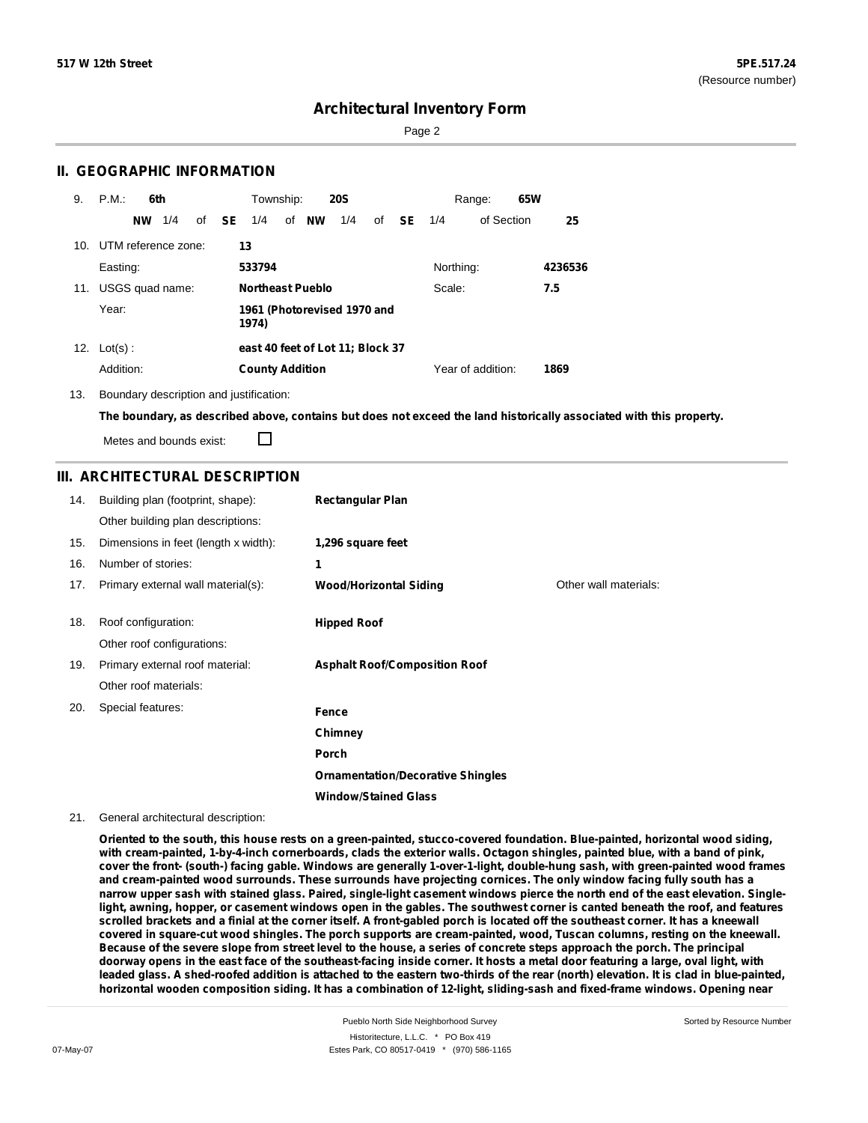Page 2

### **II. GEOGRAPHIC INFORMATION**

| 9.  | P.M.<br>6th         | <b>20S</b><br>Township:                                           | 65W<br>Range:     |         |
|-----|---------------------|-------------------------------------------------------------------|-------------------|---------|
|     | 1/4<br><b>NW</b>    | of <b>NW</b><br>of <b>SE</b><br>1/4<br><b>SE</b> 1/4<br>1/4<br>of | of Section        | 25      |
| 10. | UTM reference zone: | 13                                                                |                   |         |
|     | Easting:            | 533794                                                            | Northing:         | 4236536 |
| 11. | USGS quad name:     | <b>Northeast Pueblo</b>                                           | Scale:            | 7.5     |
|     | Year:               | 1961 (Photorevised 1970 and<br>1974)                              |                   |         |
| 12. | $Lot(s)$ :          | east 40 feet of Lot 11; Block 37                                  |                   |         |
|     | Addition:           | <b>County Addition</b>                                            | Year of addition: | 1869    |

13. Boundary description and justification:

The boundary, as described above, contains but does not exceed the land historically associated with this property.

Metes and bounds exist:

П

### **III. ARCHITECTURAL DESCRIPTION**

| 14. | Building plan (footprint, shape):<br>Other building plan descriptions: | <b>Rectangular Plan</b>                  |                       |
|-----|------------------------------------------------------------------------|------------------------------------------|-----------------------|
|     |                                                                        |                                          |                       |
| 15. | Dimensions in feet (length x width):                                   | 1,296 square feet                        |                       |
| 16. | Number of stories:                                                     | 1                                        |                       |
| 17. | Primary external wall material(s):                                     | <b>Wood/Horizontal Siding</b>            | Other wall materials: |
|     |                                                                        |                                          |                       |
| 18. | Roof configuration:                                                    | <b>Hipped Roof</b>                       |                       |
|     | Other roof configurations:                                             |                                          |                       |
| 19. | Primary external roof material:                                        | <b>Asphalt Roof/Composition Roof</b>     |                       |
|     | Other roof materials:                                                  |                                          |                       |
| 20. | Special features:                                                      | Fence                                    |                       |
|     |                                                                        | Chimney                                  |                       |
|     |                                                                        | Porch                                    |                       |
|     |                                                                        | <b>Ornamentation/Decorative Shingles</b> |                       |
|     |                                                                        | <b>Window/Stained Glass</b>              |                       |

### 21. General architectural description:

Oriented to the south, this house rests on a green-painted, stucco-covered foundation. Blue-painted, horizontal wood siding, with cream-painted, 1-by-4-inch cornerboards, clads the exterior walls. Octagon shingles, painted blue, with a band of pink, cover the front- (south-) facing gable. Windows are generally 1-over-1-light, double-hung sash, with green-painted wood frames and cream-painted wood surrounds. These surrounds have projecting cornices. The only window facing fully south has a narrow upper sash with stained glass. Paired, single-light casement windows pierce the north end of the east elevation. Singlelight, awning, hopper, or casement windows open in the gables. The southwest corner is canted beneath the roof, and features scrolled brackets and a finial at the corner itself. A front-gabled porch is located off the southeast corner. It has a kneewall covered in square-cut wood shingles. The porch supports are cream-painted, wood, Tuscan columns, resting on the kneewall. Because of the severe slope from street level to the house, a series of concrete steps approach the porch. The principal doorway opens in the east face of the southeast-facing inside corner. It hosts a metal door featuring a large, oval light, with leaded glass. A shed-roofed addition is attached to the eastern two-thirds of the rear (north) elevation. It is clad in blue-painted, horizontal wooden composition siding. It has a combination of 12-light, sliding-sash and fixed-frame windows. Opening near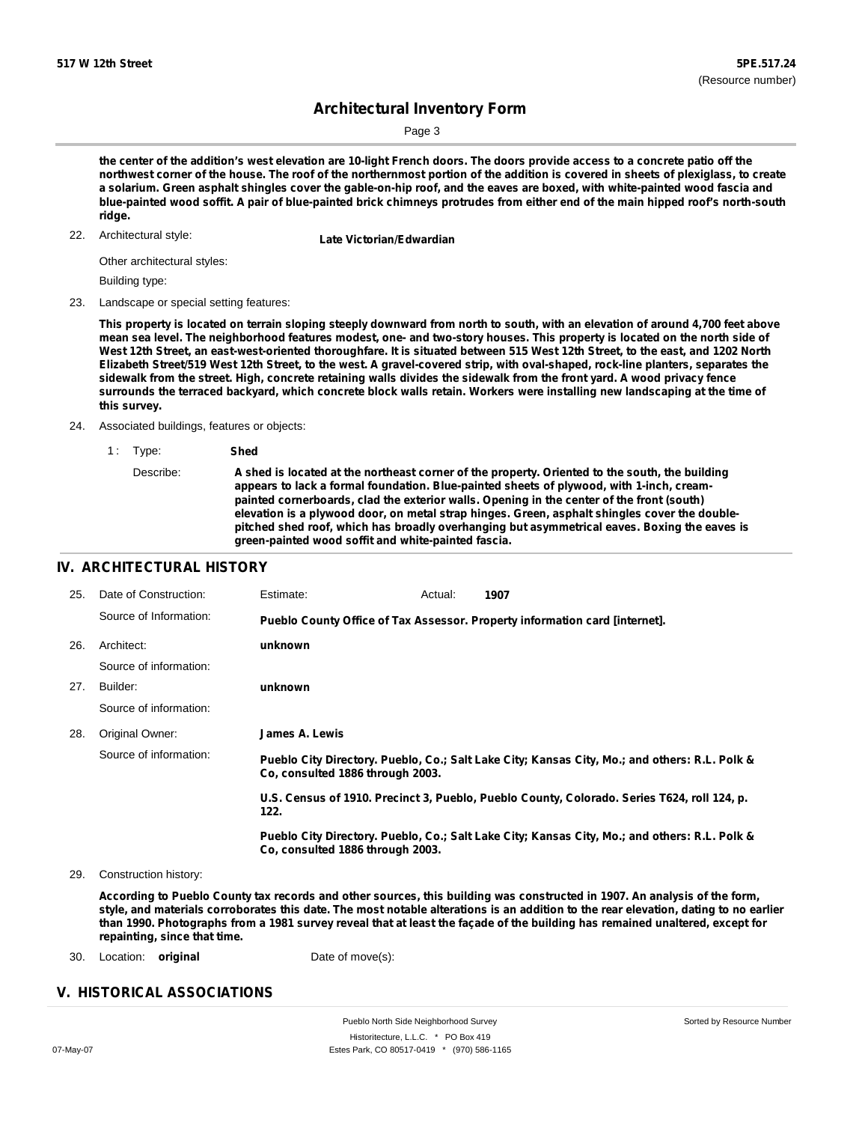Page 3

the center of the addition's west elevation are 10-light French doors. The doors provide access to a concrete patio off the northwest corner of the house. The roof of the northernmost portion of the addition is covered in sheets of plexiglass, to create a solarium. Green asphalt shingles cover the gable-on-hip roof, and the eaves are boxed, with white-painted wood fascia and blue-painted wood soffit. A pair of blue-painted brick chimneys protrudes from either end of the main hipped roof's north-south **ridge.**

22. Architectural style:

**Late Victorian/Edwardian** 

Other architectural styles:

Building type:

23. Landscape or special setting features:

This property is located on terrain sloping steeply downward from north to south, with an elevation of around 4,700 feet above mean sea level. The neighborhood features modest, one- and two-story houses. This property is located on the north side of West 12th Street, an east-west-oriented thoroughfare. It is situated between 515 West 12th Street, to the east, and 1202 North Elizabeth Street/519 West 12th Street, to the west. A gravel-covered strip, with oval-shaped, rock-line planters, separates the sidewalk from the street. High, concrete retaining walls divides the sidewalk from the front yard. A wood privacy fence surrounds the terraced backyard, which concrete block walls retain. Workers were installing new landscaping at the time of **this survey.**

24. Associated buildings, features or objects:

1 : Type: **Shed**

### **IV. ARCHITECTURAL HISTORY**

| 25. | Date of Construction:  | Estimate:                        | Actual: | 1907                                                                                          |
|-----|------------------------|----------------------------------|---------|-----------------------------------------------------------------------------------------------|
|     | Source of Information: |                                  |         | Pueblo County Office of Tax Assessor. Property information card [internet].                   |
| 26. | Architect:             | unknown                          |         |                                                                                               |
|     | Source of information: |                                  |         |                                                                                               |
| 27. | Builder:               | unknown                          |         |                                                                                               |
|     | Source of information: |                                  |         |                                                                                               |
| 28. | Original Owner:        | James A. Lewis                   |         |                                                                                               |
|     | Source of information: | Co. consulted 1886 through 2003. |         | Pueblo City Directory. Pueblo, Co.; Salt Lake City; Kansas City, Mo.; and others: R.L. Polk & |
|     |                        | 122.                             |         | U.S. Census of 1910. Precinct 3, Pueblo, Pueblo County, Colorado. Series T624, roll 124, p.   |
|     |                        | Co. consulted 1886 through 2003. |         | Pueblo City Directory. Pueblo, Co.; Salt Lake City; Kansas City, Mo.; and others: R.L. Polk & |

29. Construction history:

According to Pueblo County tax records and other sources, this building was constructed in 1907. An analysis of the form, style, and materials corroborates this date. The most notable alterations is an addition to the rear elevation, dating to no earlier than 1990. Photographs from a 1981 survey reveal that at least the façade of the building has remained unaltered, except for **repainting, since that time.**

30. Location: **original** Date of move(s):

### **V. HISTORICAL ASSOCIATIONS**

Describe: **A shed is located at the northeast corner of the property. Oriented to the south, the building appears to lack a formal foundation. Blue-painted sheets of plywood, with 1-inch, creampainted cornerboards, clad the exterior walls. Opening in the center of the front (south) elevation is a plywood door, on metal strap hinges. Green, asphalt shingles cover the doublepitched shed roof, which has broadly overhanging but asymmetrical eaves. Boxing the eaves is green-painted wood soffit and white-painted fascia.**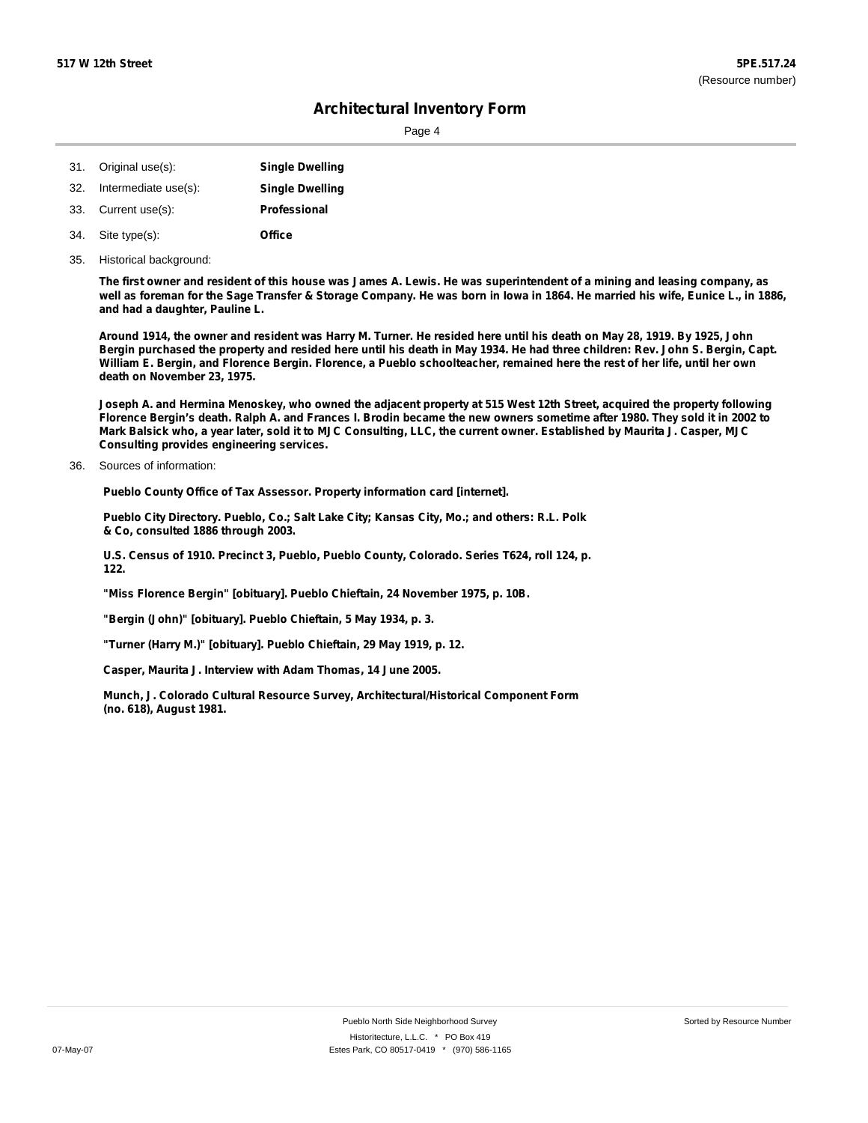Page 4

| 31. | Original use(s):     | <b>Single Dwelling</b> |
|-----|----------------------|------------------------|
| 32. | Intermediate use(s): | <b>Single Dwelling</b> |
| 33. | Current use(s):      | Professional           |
| 34. | Site type(s):        | Office                 |

35. Historical background:

The first owner and resident of this house was James A. Lewis. He was superintendent of a mining and leasing company, as well as foreman for the Sage Transfer & Storage Company. He was born in lowa in 1864. He married his wife, Eunice L., in 1886, **and had a daughter, Pauline L.**

Around 1914, the owner and resident was Harry M. Turner. He resided here until his death on May 28, 1919. By 1925, John Bergin purchased the property and resided here until his death in May 1934. He had three children: Rev. John S. Bergin, Capt. William E. Bergin, and Florence Bergin. Florence, a Pueblo schoolteacher, remained here the rest of her life, until her own **death on November 23, 1975.**

Joseph A. and Hermina Menoskey, who owned the adjacent property at 515 West 12th Street, acquired the property following Florence Bergin's death. Ralph A. and Frances I. Brodin became the new owners sometime after 1980. They sold it in 2002 to Mark Balsick who, a year later, sold it to MJC Consulting, LLC, the current owner. Established by Maurita J. Casper, MJC **Consulting provides engineering services.**

36. Sources of information:

**Pueblo County Office of Tax Assessor. Property information card [internet].**

**Pueblo City Directory. Pueblo, Co.; Salt Lake City; Kansas City, Mo.; and others: R.L. Polk & Co, consulted 1886 through 2003.**

**U.S. Census of 1910. Precinct 3, Pueblo, Pueblo County, Colorado. Series T624, roll 124, p. 122.**

**"Miss Florence Bergin" [obituary]. Pueblo Chieftain, 24 November 1975, p. 10B.**

**"Bergin (John)" [obituary]. Pueblo Chieftain, 5 May 1934, p. 3.**

**"Turner (Harry M.)" [obituary]. Pueblo Chieftain, 29 May 1919, p. 12.**

**Casper, Maurita J. Interview with Adam Thomas, 14 June 2005.**

**Munch, J. Colorado Cultural Resource Survey, Architectural/Historical Component Form (no. 618), August 1981.**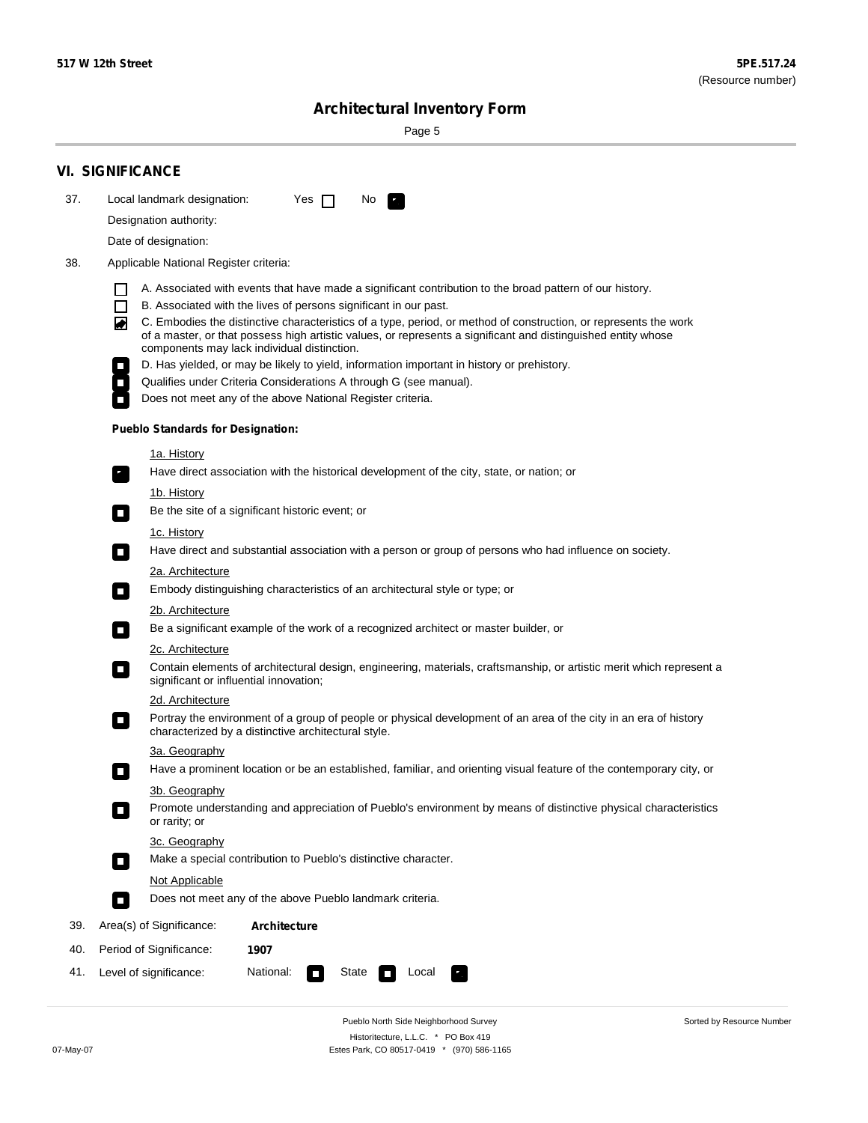Sorted by Resource Number

# **Architectural Inventory Form**

Page 5

|     | <b>VI. SIGNIFICANCE</b>                                                                                                                                                                                                                                                                                                                                                                                                                                                                                                                                                                                                                                                                                                                                                                                                                                                                                                                                                                                                                                                                                                                                                                                                                                                       |  |  |  |
|-----|-------------------------------------------------------------------------------------------------------------------------------------------------------------------------------------------------------------------------------------------------------------------------------------------------------------------------------------------------------------------------------------------------------------------------------------------------------------------------------------------------------------------------------------------------------------------------------------------------------------------------------------------------------------------------------------------------------------------------------------------------------------------------------------------------------------------------------------------------------------------------------------------------------------------------------------------------------------------------------------------------------------------------------------------------------------------------------------------------------------------------------------------------------------------------------------------------------------------------------------------------------------------------------|--|--|--|
| 37. | Local landmark designation:<br>Yes $\Box$<br>No.                                                                                                                                                                                                                                                                                                                                                                                                                                                                                                                                                                                                                                                                                                                                                                                                                                                                                                                                                                                                                                                                                                                                                                                                                              |  |  |  |
|     | Designation authority:                                                                                                                                                                                                                                                                                                                                                                                                                                                                                                                                                                                                                                                                                                                                                                                                                                                                                                                                                                                                                                                                                                                                                                                                                                                        |  |  |  |
|     | Date of designation:                                                                                                                                                                                                                                                                                                                                                                                                                                                                                                                                                                                                                                                                                                                                                                                                                                                                                                                                                                                                                                                                                                                                                                                                                                                          |  |  |  |
| 38. | Applicable National Register criteria:                                                                                                                                                                                                                                                                                                                                                                                                                                                                                                                                                                                                                                                                                                                                                                                                                                                                                                                                                                                                                                                                                                                                                                                                                                        |  |  |  |
|     | A. Associated with events that have made a significant contribution to the broad pattern of our history.<br>B. Associated with the lives of persons significant in our past.<br>C. Embodies the distinctive characteristics of a type, period, or method of construction, or represents the work<br>◙<br>of a master, or that possess high artistic values, or represents a significant and distinguished entity whose<br>components may lack individual distinction.<br>D. Has yielded, or may be likely to yield, information important in history or prehistory.<br>Qualifies under Criteria Considerations A through G (see manual).<br>Does not meet any of the above National Register criteria.<br><b>Pueblo Standards for Designation:</b><br><u>1a. History</u><br>Have direct association with the historical development of the city, state, or nation; or<br>$\overline{\phantom{a}}$ .<br><u>1b. History</u><br>Be the site of a significant historic event; or<br>$\Box$<br>1c. History<br>Have direct and substantial association with a person or group of persons who had influence on society.<br>$\sim$<br>2a. Architecture<br>Embody distinguishing characteristics of an architectural style or type; or<br>$\overline{\phantom{a}}$<br>2b. Architecture |  |  |  |
|     | Be a significant example of the work of a recognized architect or master builder, or<br>$\overline{\phantom{a}}$                                                                                                                                                                                                                                                                                                                                                                                                                                                                                                                                                                                                                                                                                                                                                                                                                                                                                                                                                                                                                                                                                                                                                              |  |  |  |
|     | 2c. Architecture                                                                                                                                                                                                                                                                                                                                                                                                                                                                                                                                                                                                                                                                                                                                                                                                                                                                                                                                                                                                                                                                                                                                                                                                                                                              |  |  |  |
|     | Contain elements of architectural design, engineering, materials, craftsmanship, or artistic merit which represent a<br>$\mathcal{L}_{\mathcal{A}}$<br>significant or influential innovation;                                                                                                                                                                                                                                                                                                                                                                                                                                                                                                                                                                                                                                                                                                                                                                                                                                                                                                                                                                                                                                                                                 |  |  |  |
|     | 2d. Architecture                                                                                                                                                                                                                                                                                                                                                                                                                                                                                                                                                                                                                                                                                                                                                                                                                                                                                                                                                                                                                                                                                                                                                                                                                                                              |  |  |  |
|     | Portray the environment of a group of people or physical development of an area of the city in an era of history<br>$\mathcal{L}_{\mathcal{A}}$<br>characterized by a distinctive architectural style.                                                                                                                                                                                                                                                                                                                                                                                                                                                                                                                                                                                                                                                                                                                                                                                                                                                                                                                                                                                                                                                                        |  |  |  |
|     | 3a. Geography                                                                                                                                                                                                                                                                                                                                                                                                                                                                                                                                                                                                                                                                                                                                                                                                                                                                                                                                                                                                                                                                                                                                                                                                                                                                 |  |  |  |
|     | Have a prominent location or be an established, familiar, and orienting visual feature of the contemporary city, or<br>П                                                                                                                                                                                                                                                                                                                                                                                                                                                                                                                                                                                                                                                                                                                                                                                                                                                                                                                                                                                                                                                                                                                                                      |  |  |  |
|     | 3b. Geography                                                                                                                                                                                                                                                                                                                                                                                                                                                                                                                                                                                                                                                                                                                                                                                                                                                                                                                                                                                                                                                                                                                                                                                                                                                                 |  |  |  |
|     | Promote understanding and appreciation of Pueblo's environment by means of distinctive physical characteristics<br>or rarity; or                                                                                                                                                                                                                                                                                                                                                                                                                                                                                                                                                                                                                                                                                                                                                                                                                                                                                                                                                                                                                                                                                                                                              |  |  |  |
|     | 3c. Geography<br>Make a special contribution to Pueblo's distinctive character.<br>О                                                                                                                                                                                                                                                                                                                                                                                                                                                                                                                                                                                                                                                                                                                                                                                                                                                                                                                                                                                                                                                                                                                                                                                          |  |  |  |
|     | Not Applicable                                                                                                                                                                                                                                                                                                                                                                                                                                                                                                                                                                                                                                                                                                                                                                                                                                                                                                                                                                                                                                                                                                                                                                                                                                                                |  |  |  |
|     | Does not meet any of the above Pueblo landmark criteria.<br>$\overline{\phantom{a}}$                                                                                                                                                                                                                                                                                                                                                                                                                                                                                                                                                                                                                                                                                                                                                                                                                                                                                                                                                                                                                                                                                                                                                                                          |  |  |  |
| 39. | Area(s) of Significance:<br>Architecture                                                                                                                                                                                                                                                                                                                                                                                                                                                                                                                                                                                                                                                                                                                                                                                                                                                                                                                                                                                                                                                                                                                                                                                                                                      |  |  |  |
| 40. | Period of Significance:<br>1907                                                                                                                                                                                                                                                                                                                                                                                                                                                                                                                                                                                                                                                                                                                                                                                                                                                                                                                                                                                                                                                                                                                                                                                                                                               |  |  |  |
| 41. | National:<br>Level of significance:<br>State<br>Local                                                                                                                                                                                                                                                                                                                                                                                                                                                                                                                                                                                                                                                                                                                                                                                                                                                                                                                                                                                                                                                                                                                                                                                                                         |  |  |  |

Pueblo North Side Neighborhood Survey Historitecture, L.L.C. \* PO Box 419 07-May-07 Estes Park, CO 80517-0419 \* (970) 586-1165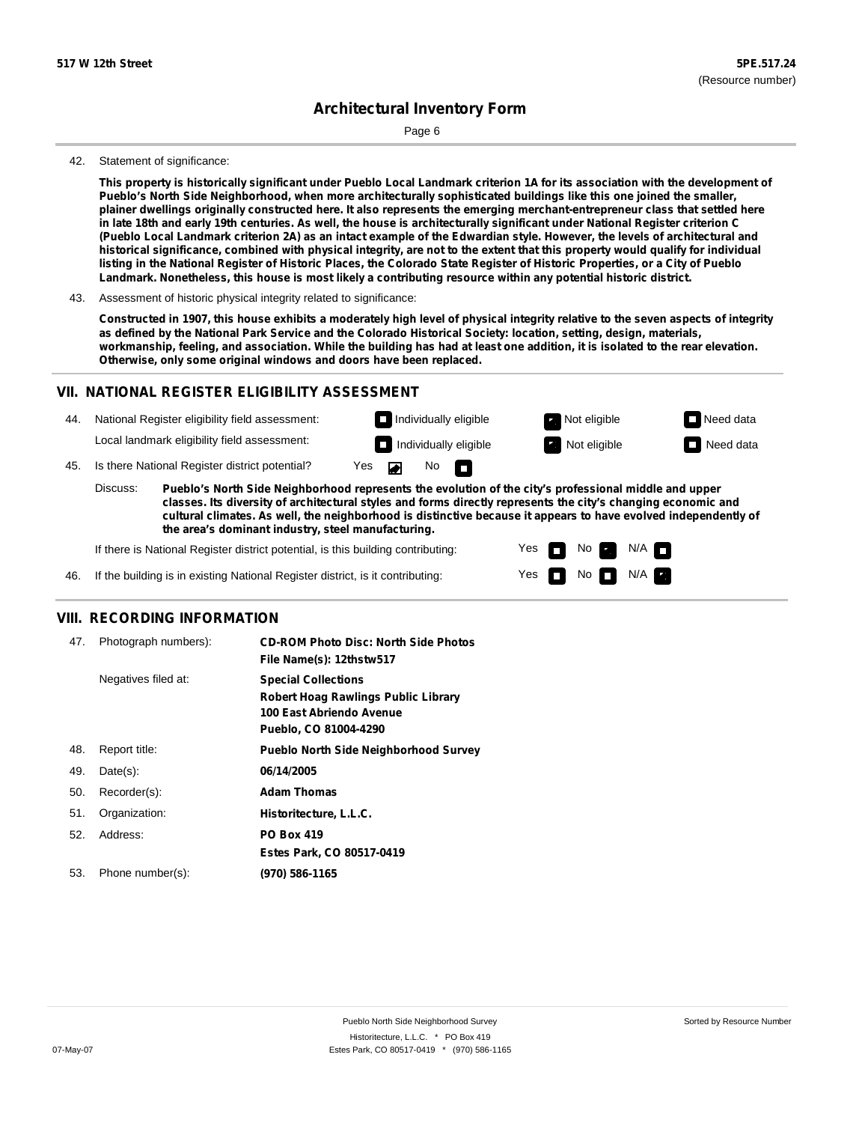Page 6

### 42. Statement of significance:

This property is historically significant under Pueblo Local Landmark criterion 1A for its association with the development of **Pueblo's North Side Neighborhood, when more architecturally sophisticated buildings like this one joined the smaller,** plainer dwellings originally constructed here. It also represents the emerging merchant-entrepreneur class that settled here in late 18th and early 19th centuries. As well, the house is architecturally significant under National Register criterion C (Pueblo Local Landmark criterion 2A) as an intact example of the Edwardian style. However, the levels of architectural and historical significance, combined with physical integrity, are not to the extent that this property would qualify for individual listing in the National Register of Historic Places, the Colorado State Register of Historic Properties, or a City of Pueblo **Landmark. Nonetheless, this house is most likely a contributing resource within any potential historic district.**

43. Assessment of historic physical integrity related to significance:

Constructed in 1907, this house exhibits a moderately high level of physical integrity relative to the seven aspects of integrity as defined by the National Park Service and the Colorado Historical Society: location, setting, design, materials, workmanship, feeling, and association. While the building has had at least one addition, it is isolated to the rear elevation. **Otherwise, only some original windows and doors have been replaced.**

### **VII. NATIONAL REGISTER ELIGIBILITY ASSESSMENT**

44. National Register eligibility field assessment: Local landmark eligibility field assessment:

**Individually eligible Not eligible Not eligible Need data** 

No<sub>D</sub>

**Individually eligible Not eligible** Not eligible **Need data** 

45. Is there National Register district potential? Yes

**Pueblo's North Side Neighborhood represents the evolution of the city's professional middle and upper classes. Its diversity of architectural styles and forms directly represents the city's changing economic and cultural climates. As well, the neighborhood is distinctive because it appears to have evolved independently of the area's dominant industry, steel manufacturing.** Discuss:

 $\blacksquare$ 

Yes Yes No

 $No$  N/A

N/A IT

If there is National Register district potential, is this building contributing:



### **VIII. RECORDING INFORMATION**

| 47. | Photograph numbers): | <b>CD-ROM Photo Disc: North Side Photos</b><br>File Name(s): 12thstw517                                                       |
|-----|----------------------|-------------------------------------------------------------------------------------------------------------------------------|
|     | Negatives filed at:  | <b>Special Collections</b><br><b>Robert Hoag Rawlings Public Library</b><br>100 East Abriendo Avenue<br>Pueblo, CO 81004-4290 |
| 48. | Report title:        | <b>Pueblo North Side Neighborhood Survey</b>                                                                                  |
| 49. | $Date(s)$ :          | 06/14/2005                                                                                                                    |
| 50. | Recorder(s):         | <b>Adam Thomas</b>                                                                                                            |
| 51. | Organization:        | Historitecture, L.L.C.                                                                                                        |
| 52. | Address:             | <b>PO Box 419</b>                                                                                                             |
|     |                      | Estes Park, CO 80517-0419                                                                                                     |
| 53. | Phone number(s):     | (970) 586-1165                                                                                                                |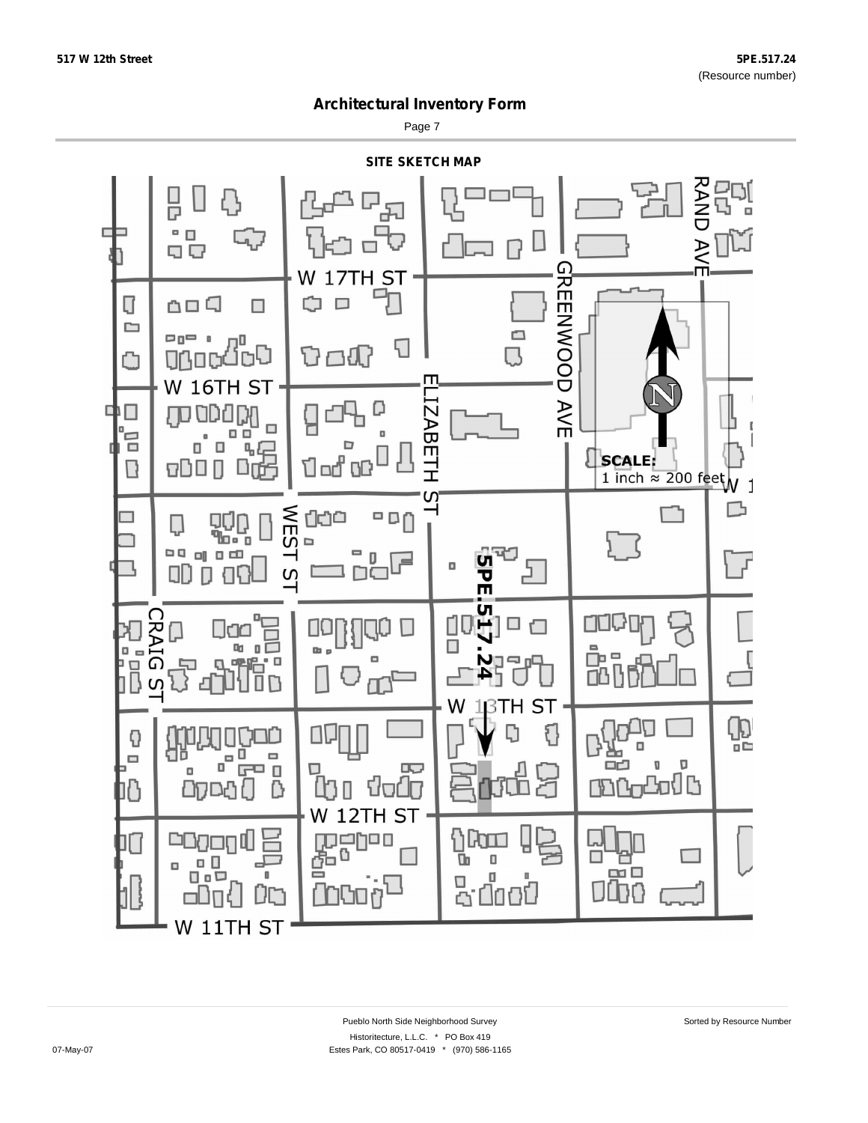Page 7